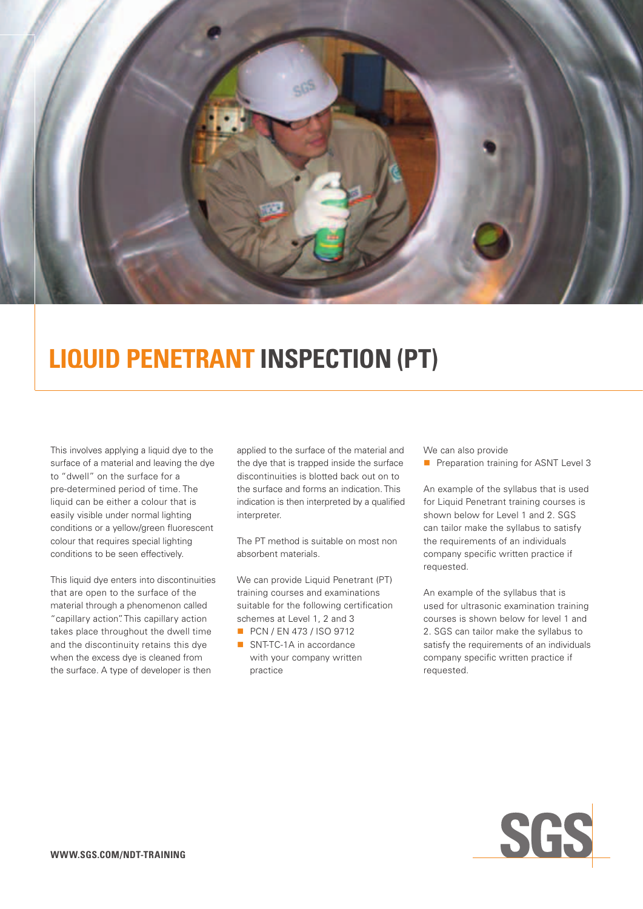

# **Liquid Penetrant Inspection (PT)**

This involves applying a liquid dye to the surface of a material and leaving the dye to "dwell" on the surface for a pre-determined period of time. The liquid can be either a colour that is easily visible under normal lighting conditions or a yellow/green fluorescent colour that requires special lighting conditions to be seen effectively.

This liquid dye enters into discontinuities that are open to the surface of the material through a phenomenon called "capillary action". This capillary action takes place throughout the dwell time and the discontinuity retains this dye when the excess dye is cleaned from the surface. A type of developer is then

applied to the surface of the material and the dye that is trapped inside the surface discontinuities is blotted back out on to the surface and forms an indication. This indication is then interpreted by a qualified interpreter.

The PT method is suitable on most non absorbent materials.

We can provide Liquid Penetrant (PT) training courses and examinations suitable for the following certification schemes at Level 1, 2 and 3

- **PCN / EN 473 / ISO 9712**
- SNT-TC-1A in accordance with your company written practice

We can also provide

**n** Preparation training for ASNT Level 3

An example of the syllabus that is used for Liquid Penetrant training courses is shown below for Level 1 and 2. SGS can tailor make the syllabus to satisfy the requirements of an individuals company specific written practice if requested.

An example of the syllabus that is used for ultrasonic examination training courses is shown below for level 1 and 2. SGS can tailor make the syllabus to satisfy the requirements of an individuals company specific written practice if requested.